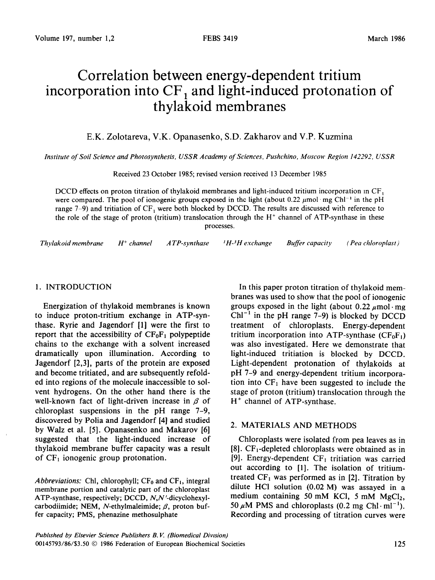# Correlation between energy-dependent tritium incorporation into  $CF_1$  and light-induced protonation of thylakoid membranes

E.K. Zolotareva, V.K. Opanasenko, S.D. Zakharov and V.P. Kuzmina

*Institute of Soil Science and Photosynthesis, USSR Academy of Sciences, Pushchino, Moscow Region 142292, USSR* 

Received 23 October 1985; revised version received 13 December 1985

DCCD effects on proton titration of thylakoid membranes and light-induced tritium incorporation in  $CF_1$ were compared. The pool of ionogenic groups exposed in the light (about 0.22  $\mu$ mol mg Chl<sup>-1</sup> in the pH range 7-9) and tritiation of  $CF_1$  were both blocked by DCCD. The results are discussed with reference to the role of the stage of proton (tritium) translocation through the H' channel of ATP-synthase in these processes.

*Thylakoid membrane H' channel A TP-syn thase* I *H-'H exchange Buffer capacity (Pea chloroplast)* 

#### 1. INTRODUCTION

Energization of thylakoid membranes is known to induce proton-tritium exchange in ATP-synthase. Ryrie and Jagendorf [l] were the first to report that the accessibility of  $CF_0F_1$  polypeptide chains to the exchange with a solvent increased dramatically upon illumination. According to Jagendorf [2,3], parts of the protein are exposed and become tritiated, and are subsequently refolded into regions of the molecule inaccessible to solvent hydrogens. On the other hand there is the well-known fact of light-driven increase in  $\beta$  of chloroplast suspensions in the pH range 7-9, discovered by Polia and Jagendorf [4] and studied by Walz et al. [5]. Opanasenko and Makarov [6] suggested that the light-induced increase of thylakoid membrane buffer capacity was a result of  $CF<sub>1</sub>$  ionogenic group protonation.

*Abbreviations:* Chl, chlorophyll;  $CF_0$  and  $CF_1$ , integral membrane portion and catalytic part of the chloroplast ATP-synthase, respectively; DCCD, N,N'-dicyclohexylcarbodiimide; NEM, N-ethylmaleimide;  $\beta$ , proton buffer capacity; PMS, phenazine methosulphate

In this paper proton titration of thylakoid membranes was used to show that the pool of ionogenic groups exposed in the light (about  $0.22 \mu$ mol  $\cdot$  mg  $Chl^{-1}$  in the pH range 7-9) is blocked by DCCD treatment of chloroplasts. Energy-dependent tritium incorporation into ATP-synthase  $(CF_0F_1)$ was also investigated. Here we demonstrate that light-induced tritiation is blocked by DCCD. Light-dependent protonation of thylakoids at pH 7-9 and energy-dependent tritium incorporation into  $CF_1$  have been suggested to include the stage of proton (tritium) translocation through the  $H^+$  channel of ATP-synthase.

### 2. MATERIALS AND METHODS

Chloroplasts were isolated from pea leaves as in  $[8]$ . CF<sub>1</sub>-depleted chloroplasts were obtained as in [9]. Energy-dependent  $CF<sub>1</sub>$  tritiation was carried out according to [l]. The isolation of tritiumtreated  $CF<sub>1</sub>$  was performed as in [2]. Titration by dilute HCl solution (0.02 M) was assayed in a medium containing 50 mM KCl, 5 mM  $MgCl<sub>2</sub>$ , 50  $\mu$ M PMS and chloroplasts (0.2 mg Chl·ml<sup>-1</sup>). Recording and processing of titration curves were

*Pubhshed by Elsevier Science Publishers B. V. (Biomedical Divrsion) 00145793/86/\$3.50 0 1986* Federation of European Biochemical Societies 125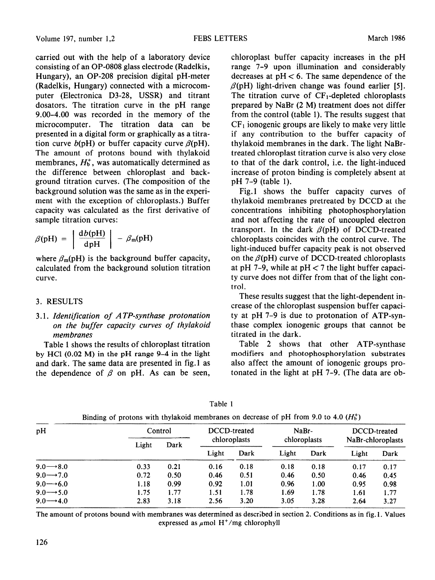carried out with the help of a laboratory device consisting of an OP-0808 glass electrode (Radelkis, Hungary), an OP-208 precision digital pH-meter (Radelkis, Hungary) connected with a microcomputer (Electronica D3-28, USSR) and titrant dosators. The titration curve in the pH range 9.00–4.00 was recorded in the memory of the microcomputer. The titration data can be presented in a digital form or graphically as a titration curve  $b(pH)$  or buffer capacity curve  $\beta(pH)$ . The amount of protons bound with thylakoid membranes,  $H_b^+$ , was automatically determined as the difference between chloroplast and background titration curves. (The domposition of the background solution was the same as in the experiment with the exception of chloroplasts.) Buffer capacity was calculated as the first derivative of sample titration curves:

$$
\beta(\text{pH}) = \left| \frac{\text{d}b(\text{pH})}{\text{d} \text{pH}} \right| - \beta_{\text{m}}(\text{pH})
$$

where  $\beta_m(pH)$  is the background buffer capacity, calculated from the background solution titration curve.

## 3. RESULTS

3.1. *Identification of A TP-synthase protonation on the buffer capacity curves of thyiakoid*   $membranes$ 

by HCl (0.02 M) in the pH range 9-4 in the light modifiers and photophosphorylation substrates and dark. The same data are presented in fig.1 as also affect the amount of ionogenic groups prothe dependence of  $\beta$  on pH. As can be seen, tonated in the light at pH 7-9. (The data are ob-

chloroplast buffer capacity increases in the pH range 7-9 upon illumination and considerably decreases at  $pH < 6$ . The same dependence of the  $\beta$ (pH) light-driven change was found earlier [5]. The titration curve of  $CF_1$ -depleted chloroplasts prepared by NaBr (2 M) treatment does not differ from the control (table 1). The results suggest that  $CF<sub>1</sub>$  ionogenic groups are likely to make very little if any contribution to the buffer capacity of thylakoid membranes in the dark. The light NaBrtreated chloroplast titration curve is also very close to that of the dark control, i.e. the light-induced increase of proton binding is completely absent at pH 7-9 (table 1).

Fig.1 shows the buffer capacity curves of thylakoid membranes pretreated by DCCD at the concentrations inhibiting photophosphorylation and not affecting the rate of uncoupled electron transport. In the dark  $\beta$ (pH) of DCCD-treated chloroplasts coincides with the control curve. The light-induced buffer capacity peak is not observed on the  $\beta$ (pH) curve of DCCD-treated chloroplasts at pH 7-9, while at  $pH < 7$  the light buffer capacity curve does not differ from that of the light control.

These results suggest that the light-dependent increase of the chloroplast suspension buffer capacity at pH 7-9 is due to protonation of ATP-synthase complex ionogenic groups that cannot be titrated in the dark.

Table 1 shows the results of chloroplast titration Table 2 shows that other ATP-synthase

| ank |  |
|-----|--|
|-----|--|

| pH                    | Control |      | DCCD-treated |      | NaBr-        |      | DCCD-treated      |      |
|-----------------------|---------|------|--------------|------|--------------|------|-------------------|------|
|                       | Light   | Dark | chloroplasts |      | chloroplasts |      | NaBr-chloroplasts |      |
|                       |         |      | Light        | Dark | Light        | Dark | Light             | Dark |
| $9.0 \rightarrow 8.0$ | 0.33    | 0.21 | 0.16         | 0.18 | 0.18         | 0.18 | 0.17              | 0.17 |
| $9.0 \rightarrow 7.0$ | 0.72    | 0.50 | 0.46         | 0.51 | 0.46         | 0.50 | 0.46              | 0.45 |
| $9.0 \rightarrow 6.0$ | 1.18    | 0.99 | 0.92         | 1.01 | 0.96         | 1.00 | 0.95              | 0.98 |
| $9.0 \rightarrow 5.0$ | 1.75    | 1.77 | 1.51         | 1.78 | 1.69         | 1.78 | 1.61              | 1.77 |
| $9.0 \rightarrow 4.0$ | 2.83    | 3.18 | 2.56         | 3.20 | 3.05         | 3.28 | 2.64              | 3.27 |

Binding of protons with thylakoid membranes on decrease of pH from 9.0 to 4.0  $(H<sub>b</sub><sup>+</sup>)$ 

The amount of protons bound with membranes was determined as described in section 2. Conditions as in fig. 1. Values expressed as  $\mu$ mol H<sup>+</sup>/mg chlorophyll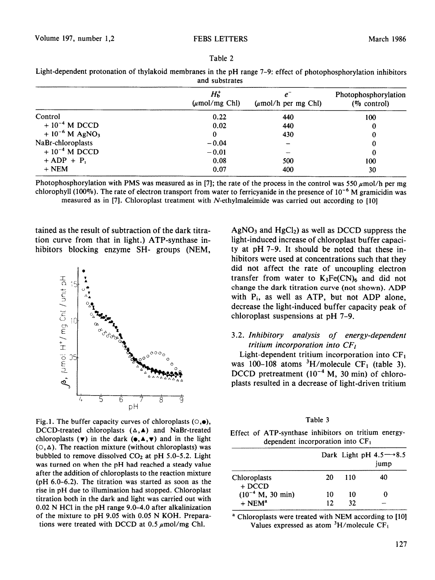| $H_{b}^{+}$<br>$(\mu \text{mol/mg Chl})$ | $(\mu \text{mol/h} \text{ per mg Chl})$ | Photophosphorylation<br>$(\%$ control) |  |  |  |
|------------------------------------------|-----------------------------------------|----------------------------------------|--|--|--|
| 0.22                                     | 440                                     | 100                                    |  |  |  |
| 0.02                                     | 440                                     | 0                                      |  |  |  |
| 0                                        | 430                                     | 0                                      |  |  |  |
| $-0.04$                                  |                                         | 0                                      |  |  |  |
| $-0.01$                                  |                                         | 0                                      |  |  |  |
| 0.08                                     | 500                                     | 100                                    |  |  |  |
| 0.07                                     | 400                                     | 30                                     |  |  |  |
|                                          |                                         |                                        |  |  |  |

Light-dependent protonation of thylakoid membranes in the pH range 7-P: effect of photophosphoryiation inhibitors and substrates

Table 2

Photophosphorylation with PMS was measured as in [7]; the rate of the process in the control was 550  $\mu$ mol/h per mg chlorophyll (100%). The rate of electron transport from water to ferricyanide in the presence of  $10^{-6}$  M gramicidin was measured as in [7]. Chloroplast treatment with  $N$ -ethylmaleimide was carried out according to [10]

tained as the result of subtraction of the dark titration curve from that in light.) ATP-synthase inhibitors blocking enzyme SH- groups (NEM,



Fig. 1. The buffer capacity curves of chloroplasts  $(\circ, \bullet)$ , DCCD-treated chloroplasts  $(\Delta, A)$  and NaBr-treated chloroplasts  $(\mathbf{v})$  in the dark  $(\mathbf{e}, \mathbf{A}, \mathbf{v})$  and in the light  $(0, \Delta)$ . The reaction mixture (without chloroplasts) was bubbled to remove dissolved  $CO<sub>2</sub>$  at pH 5.0-5.2. Light was turned on when the pH had reached a steady value after the addition of chloroplasts to the reaction mixture (pH 6.0-6.2). The titration was started as soon as the rise in pH due to illumination had stopped. Chloroplast titration both in the dark and light was carried out with  $0.02$  N HCl in the pH range 9.0-4.0 after alkalinization of the mixture to pH 9.05 with 0.05 N KOH. Preparations were treated with DCCD at 0.5  $\mu$ mol/mg Chl.

 $AgNO<sub>3</sub>$  and  $HgCl<sub>2</sub>$ ) as well as DCCD suppress the light-induced increase of chloroplast buffer capacity at pH 7-9. It should be noted that these inhibitors were used at concentrations such that they did not affect the rate of uncoupling electron transfer from water to  $K_3Fe(CN)_6$  and did not change the dark titration curve (not shown). ADP with  $P_i$ , as well as ATP, but not ADP alone, decrease the light-induced buffer capacity peak of chloroplast suspensions at pH 7-9.

### 3.2. *Inhibitory analysis of energy-dependent tritium incorporation into CFI*

Light-dependent tritium incorporation into  $CF<sub>1</sub>$ was 100-108 atoms  ${}^{3}H/molecule$  CF<sub>1</sub> (table 3). DCCD pretreatment  $(10^{-4}$  M, 30 min) of chloroplasts resulted in a decrease of light-driven tritium

|--|--|

Effect of ATP-synthase inhibitors on tritium energydependent incorporation into  $CF<sub>1</sub>$ 

|                          |    |     | Dark Light pH $4.5 \rightarrow 8.5$<br>jump |
|--------------------------|----|-----|---------------------------------------------|
| Chloroplasts<br>$+ DCCD$ | 20 | 110 | 40                                          |
| $(10^{-4}$ M, 30 min)    | 10 | 10  | 0                                           |
| $+$ NFM <sup>a</sup>     | 12 | 32  |                                             |

a Chloroplasts were treated with NEM according to *[IO]*  Values expressed as atom  ${}^{3}H/m$ olecule CF<sub>1</sub>